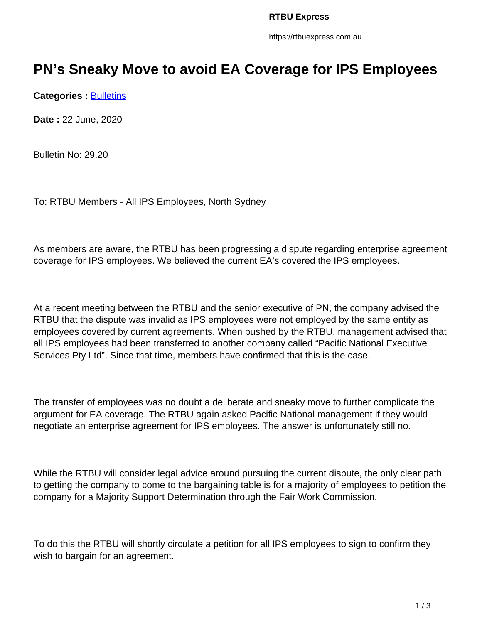## **PN's Sneaky Move to avoid EA Coverage for IPS Employees**

**Categories : [Bulletins](https://rtbuexpress.com.au/category/news/bulletins/)** 

**Date :** 22 June, 2020

Bulletin No: 29.20

To: RTBU Members - All IPS Employees, North Sydney

As members are aware, the RTBU has been progressing a dispute regarding enterprise agreement coverage for IPS employees. We believed the current EA's covered the IPS employees.

At a recent meeting between the RTBU and the senior executive of PN, the company advised the RTBU that the dispute was invalid as IPS employees were not employed by the same entity as employees covered by current agreements. When pushed by the RTBU, management advised that all IPS employees had been transferred to another company called "Pacific National Executive Services Pty Ltd". Since that time, members have confirmed that this is the case.

The transfer of employees was no doubt a deliberate and sneaky move to further complicate the argument for EA coverage. The RTBU again asked Pacific National management if they would negotiate an enterprise agreement for IPS employees. The answer is unfortunately still no.

While the RTBU will consider legal advice around pursuing the current dispute, the only clear path to getting the company to come to the bargaining table is for a majority of employees to petition the company for a Majority Support Determination through the Fair Work Commission.

To do this the RTBU will shortly circulate a petition for all IPS employees to sign to confirm they wish to bargain for an agreement.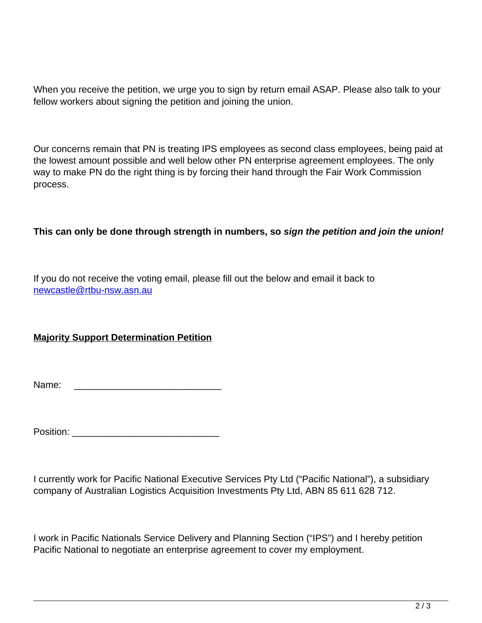When you receive the petition, we urge you to sign by return email ASAP. Please also talk to your fellow workers about signing the petition and joining the union.

Our concerns remain that PN is treating IPS employees as second class employees, being paid at the lowest amount possible and well below other PN enterprise agreement employees. The only way to make PN do the right thing is by forcing their hand through the Fair Work Commission process.

## **This can only be done through strength in numbers, so sign the petition and join the union!**

If you do not receive the voting email, please fill out the below and email it back to newcastle@rtbu-nsw.asn.au

## **Majority Support Determination Petition**

Name: \_\_\_\_\_\_\_\_\_\_\_\_\_\_\_\_\_\_\_\_\_\_\_\_\_\_\_\_

Position: \_\_\_\_\_\_\_\_\_\_\_\_\_\_\_\_\_\_\_\_\_\_\_\_\_\_\_\_

I currently work for Pacific National Executive Services Pty Ltd ("Pacific National"), a subsidiary company of Australian Logistics Acquisition Investments Pty Ltd, ABN 85 611 628 712.

I work in Pacific Nationals Service Delivery and Planning Section ("IPS") and I hereby petition Pacific National to negotiate an enterprise agreement to cover my employment.